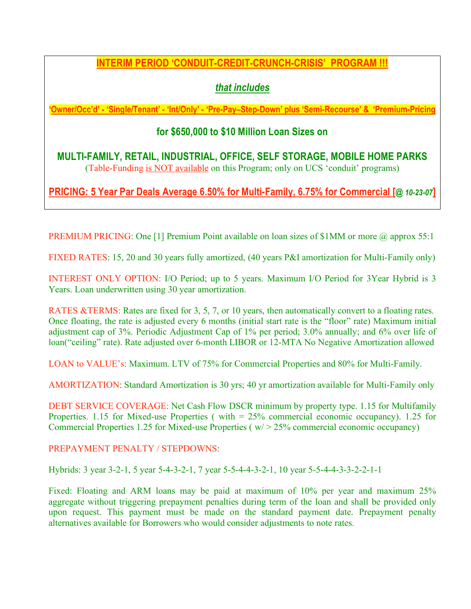# **INTERIM PERIOD 'CONDUIT-CREDIT-CRUNCH-CRISIS' PROGRAM !!!**

# *that includes*

**'Owner/Occ'd' - 'Single/Tenant' - 'Int/Only' - 'Pre-Pay–Step-Down' plus 'Semi-Recourse' & 'Premium-Pricing**

# **for \$650,000 to \$10 Million Loan Sizes on**

**MULTI-FAMILY, RETAIL, INDUSTRIAL, OFFICE, SELF STORAGE, MOBILE HOME PARKS** (Table-Funding is NOT available on this Program; only on UCS 'conduit' programs)

**PRICING: 5 Year Par Deals Average 6.50% for Multi-Family, 6.75% for Commercial [@** *10-23-07***]**

PREMIUM PRICING: One [1] Premium Point available on loan sizes of \$1MM or more @ approx 55:1

FIXED RATES: 15, 20 and 30 years fully amortized, (40 years P&I amortization for Multi-Family only)

INTEREST ONLY OPTION: I/O Period; up to 5 years. Maximum I/O Period for 3Year Hybrid is 3 Years. Loan underwritten using 30 year amortization.

RATES &TERMS: Rates are fixed for 3, 5, 7, or 10 years, then automatically convert to a floating rates. Once floating, the rate is adjusted every 6 months (initial start rate is the "floor" rate) Maximum initial adjustment cap of 3%. Periodic Adjustment Cap of 1% per period; 3.0% annually; and 6% over life of loan("ceiling" rate). Rate adjusted over 6-month LIBOR or 12-MTA No Negative Amortization allowed

LOAN to VALUE's: Maximum. LTV of 75% for Commercial Properties and 80% for Multi-Family.

AMORTIZATION: Standard Amortization is 30 yrs; 40 yr amortization available for Multi-Family only

DEBT SERVICE COVERAGE: Net Cash Flow DSCR minimum by property type. 1.15 for Multifamily Properties. 1.15 for Mixed-use Properties ( with = 25% commercial economic occupancy). 1.25 for Commercial Properties 1.25 for Mixed-use Properties ( w/ > 25% commercial economic occupancy)

PREPAYMENT PENALTY / STEPDOWNS:

Hybrids: 3 year 3-2-1, 5 year 5-4-3-2-1, 7 year 5-5-4-4-3-2-1, 10 year 5-5-4-4-3-3-2-2-1-1

Fixed: Floating and ARM loans may be paid at maximum of 10% per year and maximum 25% aggregate without triggering prepayment penalties during term of the loan and shall be provided only upon request. This payment must be made on the standard payment date. Prepayment penalty alternatives available for Borrowers who would consider adjustments to note rates.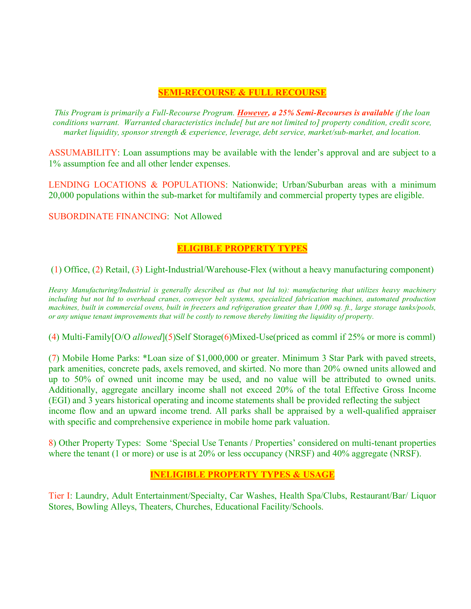### **SEMI-RECOURSE & FULL RECOURSE**

*This Program is primarily a Full-Recourse Program. However, a 25% Semi-Recourses is available if the loan conditions warrant. Warranted characteristics include[ but are not limited to] property condition, credit score, market liquidity, sponsor strength & experience, leverage, debt service, market/sub-market, and location.*

ASSUMABILITY: Loan assumptions may be available with the lender's approval and are subject to a 1% assumption fee and all other lender expenses.

LENDING LOCATIONS & POPULATIONS: Nationwide; Urban/Suburban areas with a minimum 20,000 populations within the sub-market for multifamily and commercial property types are eligible.

SUBORDINATE FINANCING: Not Allowed

# **ELIGIBLE PROPERTY TYPES**

(1) Office, (2) Retail, (3) Light-Industrial/Warehouse-Flex (without a heavy manufacturing component)

*Heavy Manufacturing/Industrial is generally described as (but not ltd to): manufacturing that utilizes heavy machinery including but not ltd to overhead cranes, conveyor belt systems, specialized fabrication machines, automated production* machines, built in commercial ovens, built in freezers and refrigeration greater than 1,000 sq. ft., large storage tanks/pools, or any unique tenant improvements that will be costly to remove thereby limiting the liquidity of property.

(4) Multi-Family[O/O *allowed*](5)Self Storage(6)Mixed-Use(priced as comml if 25% or more is comml)

(7) Mobile Home Parks: \*Loan size of \$1,000,000 or greater. Minimum 3 Star Park with paved streets, park amenities, concrete pads, axels removed, and skirted. No more than 20% owned units allowed and up to 50% of owned unit income may be used, and no value will be attributed to owned units. Additionally, aggregate ancillary income shall not exceed 20% of the total Effective Gross Income (EGI) and 3 years historical operating and income statements shall be provided reflecting the subject income flow and an upward income trend. All parks shall be appraised by a well-qualified appraiser with specific and comprehensive experience in mobile home park valuation.

8) Other Property Types: Some 'Special Use Tenants / Properties' considered on multi-tenant properties where the tenant (1 or more) or use is at 20% or less occupancy (NRSF) and 40% aggregate (NRSF).

# **INELIGIBLE PROPERTY TYPES & USAGE**

Tier I: Laundry, Adult Entertainment/Specialty, Car Washes, Health Spa/Clubs, Restaurant/Bar/ Liquor Stores, Bowling Alleys, Theaters, Churches, Educational Facility/Schools.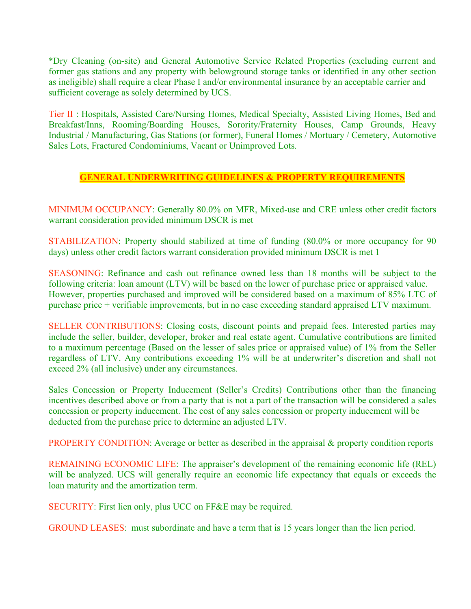\*Dry Cleaning (on-site) and General Automotive Service Related Properties (excluding current and former gas stations and any property with belowground storage tanks or identified in any other section as ineligible) shall require a clear Phase I and/or environmental insurance by an acceptable carrier and sufficient coverage as solely determined by UCS.

Tier II : Hospitals, Assisted Care/Nursing Homes, Medical Specialty, Assisted Living Homes, Bed and Breakfast/Inns, Rooming/Boarding Houses, Sorority/Fraternity Houses, Camp Grounds, Heavy Industrial / Manufacturing, Gas Stations (or former), Funeral Homes / Mortuary / Cemetery, Automotive Sales Lots, Fractured Condominiums, Vacant or Unimproved Lots.

### **GENERAL UNDERWRITING GUIDELINES & PROPERTY REQUIREMENTS**

MINIMUM OCCUPANCY: Generally 80.0% on MFR, Mixed-use and CRE unless other credit factors warrant consideration provided minimum DSCR is met

STABILIZATION: Property should stabilized at time of funding (80.0% or more occupancy for 90 days) unless other credit factors warrant consideration provided minimum DSCR is met 1

SEASONING: Refinance and cash out refinance owned less than 18 months will be subject to the following criteria: loan amount (LTV) will be based on the lower of purchase price or appraised value. However, properties purchased and improved will be considered based on a maximum of 85% LTC of purchase price + verifiable improvements, but in no case exceeding standard appraised LTV maximum.

SELLER CONTRIBUTIONS: Closing costs, discount points and prepaid fees. Interested parties may include the seller, builder, developer, broker and real estate agent. Cumulative contributions are limited to a maximum percentage (Based on the lesser of sales price or appraised value) of 1% from the Seller regardless of LTV. Any contributions exceeding 1% will be at underwriter's discretion and shall not exceed 2% (all inclusive) under any circumstances.

Sales Concession or Property Inducement (Seller's Credits) Contributions other than the financing incentives described above or from a party that is not a part of the transaction will be considered a sales concession or property inducement. The cost of any sales concession or property inducement will be deducted from the purchase price to determine an adjusted LTV.

**PROPERTY CONDITION:** Average or better as described in the appraisal  $\&$  property condition reports

REMAINING ECONOMIC LIFE: The appraiser's development of the remaining economic life (REL) will be analyzed. UCS will generally require an economic life expectancy that equals or exceeds the loan maturity and the amortization term.

SECURITY: First lien only, plus UCC on FF&E may be required.

GROUND LEASES: must subordinate and have a term that is 15 years longer than the lien period.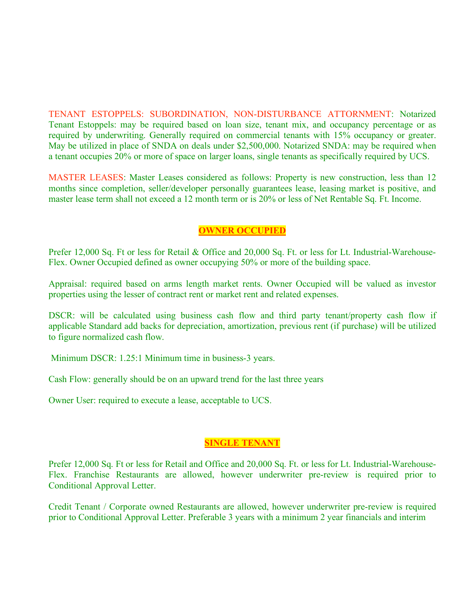TENANT ESTOPPELS: SUBORDINATION, NON-DISTURBANCE ATTORNMENT: Notarized Tenant Estoppels: may be required based on loan size, tenant mix, and occupancy percentage or as required by underwriting. Generally required on commercial tenants with 15% occupancy or greater. May be utilized in place of SNDA on deals under \$2,500,000. Notarized SNDA: may be required when a tenant occupies 20% or more of space on larger loans, single tenants as specifically required by UCS.

MASTER LEASES: Master Leases considered as follows: Property is new construction, less than 12 months since completion, seller/developer personally guarantees lease, leasing market is positive, and master lease term shall not exceed a 12 month term or is 20% or less of Net Rentable Sq. Ft. Income.

## **OWNER OCCUPIED**

Prefer 12,000 Sq. Ft or less for Retail & Office and 20,000 Sq. Ft. or less for Lt. Industrial-Warehouse-Flex. Owner Occupied defined as owner occupying 50% or more of the building space.

Appraisal: required based on arms length market rents. Owner Occupied will be valued as investor properties using the lesser of contract rent or market rent and related expenses.

DSCR: will be calculated using business cash flow and third party tenant/property cash flow if applicable Standard add backs for depreciation, amortization, previous rent (if purchase) will be utilized to figure normalized cash flow.

Minimum DSCR: 1.25:1 Minimum time in business-3 years.

Cash Flow: generally should be on an upward trend for the last three years

Owner User: required to execute a lease, acceptable to UCS.

#### **SINGLE TENANT**

Prefer 12,000 Sq. Ft or less for Retail and Office and 20,000 Sq. Ft. or less for Lt. Industrial-Warehouse-Flex. Franchise Restaurants are allowed, however underwriter pre-review is required prior to Conditional Approval Letter.

Credit Tenant / Corporate owned Restaurants are allowed, however underwriter pre-review is required prior to Conditional Approval Letter. Preferable 3 years with a minimum 2 year financials and interim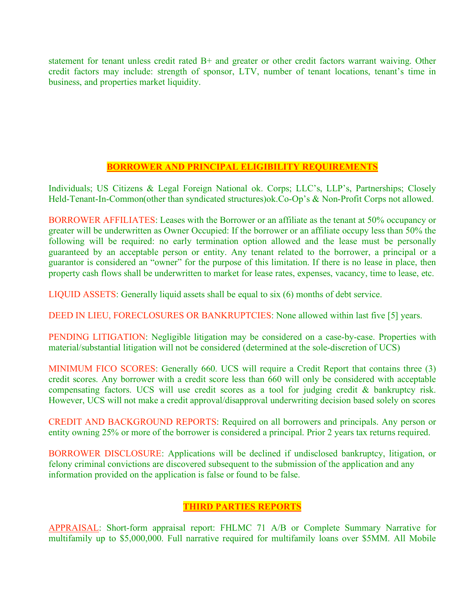statement for tenant unless credit rated B+ and greater or other credit factors warrant waiving. Other credit factors may include: strength of sponsor, LTV, number of tenant locations, tenant's time in business, and properties market liquidity.

# **BORROWER AND PRINCIPAL ELIGIBILITY REQUIREMENTS**

Individuals; US Citizens & Legal Foreign National ok. Corps; LLC's, LLP's, Partnerships; Closely Held-Tenant-In-Common(other than syndicated structures)ok.Co-Op's & Non-Profit Corps not allowed.

BORROWER AFFILIATES: Leases with the Borrower or an affiliate as the tenant at 50% occupancy or greater will be underwritten as Owner Occupied: If the borrower or an affiliate occupy less than 50% the following will be required: no early termination option allowed and the lease must be personally guaranteed by an acceptable person or entity. Any tenant related to the borrower, a principal or a guarantor is considered an "owner" for the purpose of this limitation. If there is no lease in place, then property cash flows shall be underwritten to market for lease rates, expenses, vacancy, time to lease, etc.

LIQUID ASSETS: Generally liquid assets shall be equal to six (6) months of debt service.

DEED IN LIEU, FORECLOSURES OR BANKRUPTCIES: None allowed within last five [5] years.

PENDING LITIGATION: Negligible litigation may be considered on a case-by-case. Properties with material/substantial litigation will not be considered (determined at the sole-discretion of UCS)

MINIMUM FICO SCORES: Generally 660. UCS will require a Credit Report that contains three (3) credit scores. Any borrower with a credit score less than 660 will only be considered with acceptable compensating factors. UCS will use credit scores as a tool for judging credit & bankruptcy risk. However, UCS will not make a credit approval/disapproval underwriting decision based solely on scores

CREDIT AND BACKGROUND REPORTS: Required on all borrowers and principals. Any person or entity owning 25% or more of the borrower is considered a principal. Prior 2 years tax returns required.

BORROWER DISCLOSURE: Applications will be declined if undisclosed bankruptcy, litigation, or felony criminal convictions are discovered subsequent to the submission of the application and any information provided on the application is false or found to be false.

### **THIRD PARTIES REPORTS**

APPRAISAL: Short-form appraisal report: FHLMC 71 A/B or Complete Summary Narrative for multifamily up to \$5,000,000. Full narrative required for multifamily loans over \$5MM. All Mobile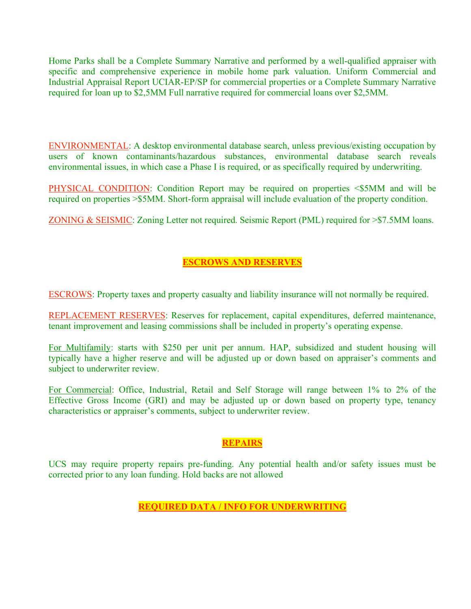Home Parks shall be a Complete Summary Narrative and performed by a well-qualified appraiser with specific and comprehensive experience in mobile home park valuation. Uniform Commercial and Industrial Appraisal Report UCIAR-EP/SP for commercial properties or a Complete Summary Narrative required for loan up to \$2,5MM Full narrative required for commercial loans over \$2,5MM.

ENVIRONMENTAL: A desktop environmental database search, unless previous/existing occupation by users of known contaminants/hazardous substances, environmental database search reveals environmental issues, in which case a Phase I is required, or as specifically required by underwriting.

PHYSICAL CONDITION: Condition Report may be required on properties <\$5MM and will be required on properties >\$5MM. Short-form appraisal will include evaluation of the property condition.

ZONING & SEISMIC: Zoning Letter not required. Seismic Report (PML) required for >\$7.5MM loans.

# **ESCROWS AND RESERVES**

ESCROWS: Property taxes and property casualty and liability insurance will not normally be required.

REPLACEMENT RESERVES: Reserves for replacement, capital expenditures, deferred maintenance, tenant improvement and leasing commissions shall be included in property's operating expense.

For Multifamily: starts with \$250 per unit per annum. HAP, subsidized and student housing will typically have a higher reserve and will be adjusted up or down based on appraiser's comments and subject to underwriter review.

For Commercial: Office, Industrial, Retail and Self Storage will range between 1% to 2% of the Effective Gross Income (GRI) and may be adjusted up or down based on property type, tenancy characteristics or appraiser's comments, subject to underwriter review.

### **REPAIRS**

UCS may require property repairs pre-funding. Any potential health and/or safety issues must be corrected prior to any loan funding. Hold backs are not allowed

**REQUIRED DATA / INFO FOR UNDERWRITING**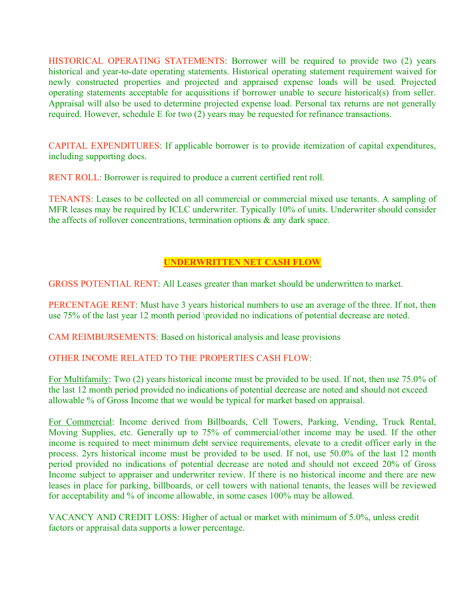HISTORICAL OPERATING STATEMENTS: Borrower will be required to provide two (2) years historical and year-to-date operating statements. Historical operating statement requirement waived for newly constructed properties and projected and appraised expense loads will be used. Projected operating statements acceptable for acquisitions if borrower unable to secure historical(s) from seller. Appraisal will also be used to determine projected expense load. Personal tax returns are not generally required. However, schedule E for two (2) years may be requested for refinance transactions.

CAPITAL EXPENDITURES: If applicable borrower is to provide itemization of capital expenditures, including supporting docs.

RENT ROLL: Borrower is required to produce a current certified rent roll.

TENANTS: Leases to be collected on all commercial or commercial mixed use tenants. A sampling of MFR leases may be required by ICLC underwriter. Typically 10% of units. Underwriter should consider the affects of rollover concentrations, termination options & any dark space.

# **UNDERWRITTEN NET CASH FLOW**

GROSS POTENTIAL RENT: All Leases greater than market should be underwritten to market.

PERCENTAGE RENT: Must have 3 years historical numbers to use an average of the three. If not, then use 75% of the last year 12 month period \provided no indications of potential decrease are noted.

CAM REIMBURSEMENTS: Based on historical analysis and lease provisions

### OTHER INCOME RELATED TO THE PROPERTIES CASH FLOW:

For Multifamily: Two (2) years historical income must be provided to be used. If not, then use 75.0% of the last 12 month period provided no indications of potential decrease are noted and should not exceed allowable % of Gross Income that we would be typical for market based on appraisal.

For Commercial: Income derived from Billboards, Cell Towers, Parking, Vending, Truck Rental, Moving Supplies, etc. Generally up to 75% of commercial/other income may be used. If the other income is required to meet minimum debt service requirements, elevate to a credit officer early in the process. 2yrs historical income must be provided to be used. If not, use 50.0% of the last 12 month period provided no indications of potential decrease are noted and should not exceed 20% of Gross Income subject to appraiser and underwriter review. If there is no historical income and there are new leases in place for parking, billboards, or cell towers with national tenants, the leases will be reviewed for acceptability and % of income allowable, in some cases 100% may be allowed.

VACANCY AND CREDIT LOSS: Higher of actual or market with minimum of 5.0%, unless credit factors or appraisal data supports a lower percentage.